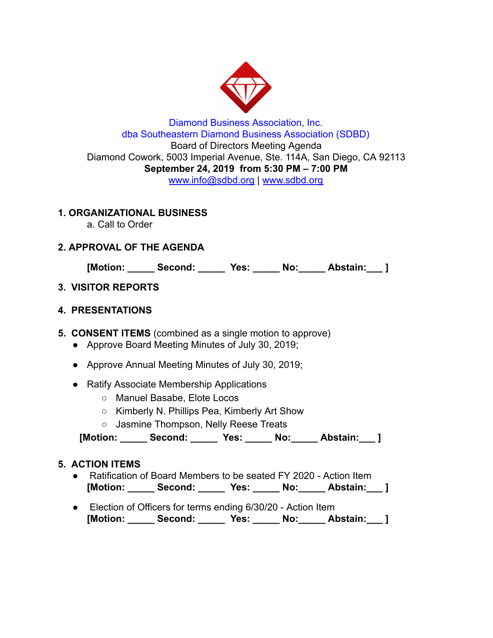

## Diamond Business Association, Inc. dba Southeastern Diamond Business Association (SDBD) Board of Directors Meeting Agenda Diamond Cowork, 5003 Imperial Avenue, Ste. 114A, San Diego, CA 92113 **September 24, 2019 from 5:30 PM – 7:00 PM**  www.info@sdbd.org | [www.sdbd.org](http://www.sdbd.org/)

# **1. ORGANIZATIONAL BUSINESS**

a. Call to Order

# **2. APPROVAL OF THE AGENDA**

**[Motion: \_\_\_\_\_ Second: \_\_\_\_\_ Yes: \_\_\_\_\_ No:\_\_\_\_\_ Abstain:\_\_\_ ]** 

# **3. VISITOR REPORTS**

# **4. PRESENTATIONS**

**5. CONSENT ITEMS** (combined as a single motion to approve)

- Approve Board Meeting Minutes of July 30, 2019;
- Approve Annual Meeting Minutes of July 30, 2019;
- Ratify Associate Membership Applications
	- Manuel Basabe, Elote Locos
	- Kimberly N. Phillips Pea, Kimberly Art Show
	- Jasmine Thompson, Nelly Reese Treats

 **[Motion: \_\_\_\_\_ Second: \_\_\_\_\_ Yes: \_\_\_\_\_ No:\_\_\_\_\_ Abstain:\_\_\_ ]** 

# **5. ACTION ITEMS**

- Ratification of Board Members to be seated FY 2020 Action Item **[Motion: \_\_\_\_\_ Second: \_\_\_\_\_ Yes: \_\_\_\_\_ No:\_\_\_\_\_ Abstain:\_\_\_ ]**
- Election of Officers for terms ending 6/30/20 Action Item **[Motion: \_\_\_\_\_ Second: \_\_\_\_\_ Yes: \_\_\_\_\_ No:\_\_\_\_\_ Abstain:\_\_\_ ]**